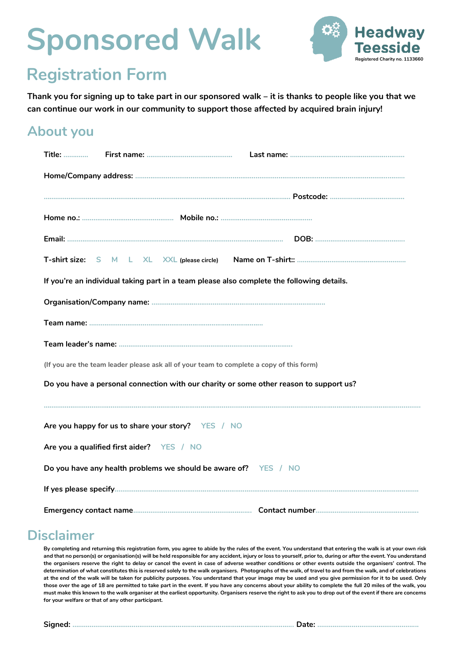# **Sponsored Walk**



### **Registration Form**

**Thank you for signing up to take part in our sponsored walk – it is thanks to people like you that we can continue our work in our community to support those affected by acquired brain injury!**

#### **About you**

| <b>Title: </b>                                                                            |  |  |  |
|-------------------------------------------------------------------------------------------|--|--|--|
|                                                                                           |  |  |  |
|                                                                                           |  |  |  |
|                                                                                           |  |  |  |
|                                                                                           |  |  |  |
|                                                                                           |  |  |  |
| If you're an individual taking part in a team please also complete the following details. |  |  |  |
|                                                                                           |  |  |  |
|                                                                                           |  |  |  |
|                                                                                           |  |  |  |
| (If you are the team leader please ask all of your team to complete a copy of this form)  |  |  |  |
| Do you have a personal connection with our charity or some other reason to support us?    |  |  |  |
|                                                                                           |  |  |  |
| Are you happy for us to share your story? YES / NO                                        |  |  |  |
| Are you a qualified first aider? YES / NO                                                 |  |  |  |
| Do you have any health problems we should be aware of? YES / NO                           |  |  |  |
|                                                                                           |  |  |  |
|                                                                                           |  |  |  |

#### **Disclaimer**

**By completing and returning this registration form, you agree to abide by the rules of the event. You understand that entering the walk is at your own risk and that no person(s) or organisation(s) will be held responsible for any accident, injury or loss to yourself, prior to, during or after the event. You understand the organisers reserve the right to delay or cancel the event in case of adverse weather conditions or other events outside the organisers' control. The determination of what constitutes this is reserved solely to the walk organisers. Photographs of the walk, of travel to and from the walk, and of celebrations at the end of the walk will be taken for publicity purposes. You understand that your image may be used and you give permission for it to be used. Only those over the age of 18 are permitted to take part in the event. If you have any concerns about your ability to complete the full 20 miles of the walk, you must make this known to the walk organiser at the earliest opportunity. Organisers reserve the right to ask you to drop out of the event if there are concerns for your welfare or that of any other participant.** 

**Signed: ………………………………………....................................................................... Date: ………………………………………........**